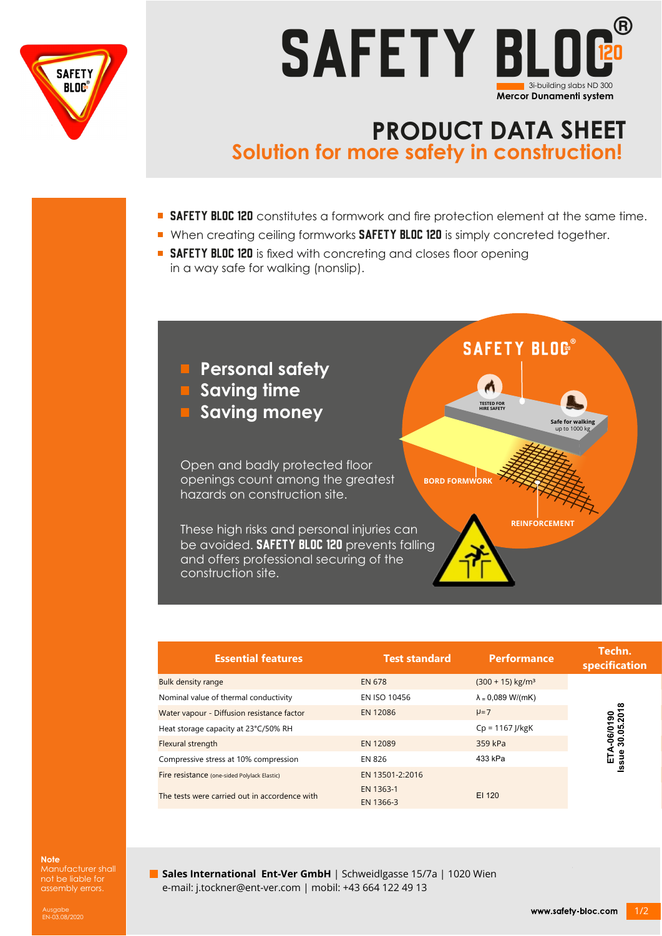



## **Solution for more safety in construction! PRODUCT DATA SHEET**

- **SAFETY BLOC 120** constitutes a formwork and fire protection element at the same time.
- When creating ceiling formworks SAFETY BLOC 120 is simply concreted together.
- **SAFETY BLOC 120** is fixed with concreting and closes floor opening in a way safe for walking (nonslip).



| <b>Essential features</b>                     | <b>Test standard</b>   | <b>Performance</b>             | Techn.<br>specification |
|-----------------------------------------------|------------------------|--------------------------------|-------------------------|
| <b>Bulk density range</b>                     | <b>EN 678</b>          | $(300 + 15)$ kg/m <sup>3</sup> |                         |
| Nominal value of thermal conductivity         | EN ISO 10456           | $\lambda = 0.089$ W/(mK)       |                         |
| Water vapour - Diffusion resistance factor    | EN 12086               | $U=7$                          | ∞<br>ຘ<br>0             |
| Heat storage capacity at 23°C/50% RH          |                        | $Cp = 1167$ J/kgK              | ទ<br>e.o                |
| Flexural strength                             | <b>EN 12089</b>        | 359 kPa                        | న్ల<br>ę<br>⊲           |
| Compressive stress at 10% compression         | EN 826                 | 433 kPa                        | $\frac{9}{2}$<br>뭅      |
| Fire resistance (one-sided Polylack Elastic)  | EN 13501-2:2016        |                                |                         |
| The tests were carried out in accordence with | EN 1363-1<br>EN 1366-3 | EI 120                         |                         |

**Note**  assembly errors.

**Sales International Ent-Ver GmbH** | Schweidlgasse 15/7a | 1020 Wien e-mail: j.tockner@ent-ver.com | mobil: +43 664 122 49 13